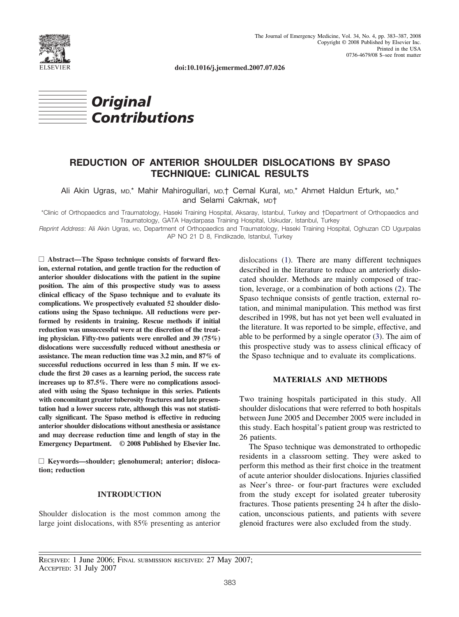

**doi:10.1016/j.jemermed.2007.07.026**



# **REDUCTION OF ANTERIOR SHOULDER DISLOCATIONS BY SPASO TECHNIQUE: CLINICAL RESULTS**

Ali Akin Ugras, MD,\* Mahir Mahirogullari, MD,† Cemal Kural, MD,\* Ahmet Haldun Erturk, MD,\* and Selami Cakmak, MD†

\*Clinic of Orthopaedics and Traumatology, Haseki Training Hospital, Aksaray, Istanbul, Turkey and †Department of Orthopaedics and Traumatology, GATA Haydarpasa Training Hospital, Uskudar, Istanbul, Turkey

*Reprint Address*: Ali Akin Ugras, MD, Department of Orthopaedics and Traumatology, Haseki Training Hospital, Oghuzan CD Ugurpalas AP NO 21 D 8, Findikzade, Istanbul, Turkey

□ Abstract—The Spaso technique consists of forward flex**ion, external rotation, and gentle traction for the reduction of anterior shoulder dislocations with the patient in the supine position. The aim of this prospective study was to assess clinical efficacy of the Spaso technique and to evaluate its complications. We prospectively evaluated 52 shoulder dislocations using the Spaso technique. All reductions were performed by residents in training. Rescue methods if initial reduction was unsuccessful were at the discretion of the treating physician. Fifty-two patients were enrolled and 39 (75%) dislocations were successfully reduced without anesthesia or assistance. The mean reduction time was 3.2 min, and 87% of successful reductions occurred in less than 5 min. If we exclude the first 20 cases as a learning period, the success rate increases up to 87.5%. There were no complications associated with using the Spaso technique in this series. Patients with concomitant greater tuberosity fractures and late presentation had a lower success rate, although this was not statistically significant. The Spaso method is effective in reducing anterior shoulder dislocations without anesthesia or assistance and may decrease reduction time and length of stay in the Emergency Department. © 2008 Published by Elsevier Inc.**

□ Keywords—shoulder; glenohumeral; anterior; disloca**tion; reduction**

#### **INTRODUCTION**

Shoulder dislocation is the most common among the large joint dislocations, with 85% presenting as anterior dislocations [\(1\)](#page-3-0). There are many different techniques described in the literature to reduce an anteriorly dislocated shoulder. Methods are mainly composed of traction, leverage, or a combination of both actions [\(2\)](#page-3-0). The Spaso technique consists of gentle traction, external rotation, and minimal manipulation. This method was first described in 1998, but has not yet been well evaluated in the literature. It was reported to be simple, effective, and able to be performed by a single operator [\(3\)](#page-3-0). The aim of this prospective study was to assess clinical efficacy of the Spaso technique and to evaluate its complications.

# **MATERIALS AND METHODS**

Two training hospitals participated in this study. All shoulder dislocations that were referred to both hospitals between June 2005 and December 2005 were included in this study. Each hospital's patient group was restricted to 26 patients.

The Spaso technique was demonstrated to orthopedic residents in a classroom setting. They were asked to perform this method as their first choice in the treatment of acute anterior shoulder dislocations. Injuries classified as Neer's three- or four-part fractures were excluded from the study except for isolated greater tuberosity fractures. Those patients presenting 24 h after the dislocation, unconscious patients, and patients with severe glenoid fractures were also excluded from the study.

RECEIVED: 1 June 2006; FINAL SUBMISSION RECEIVED: 27 May 2007; ACCEPTED: 31 July 2007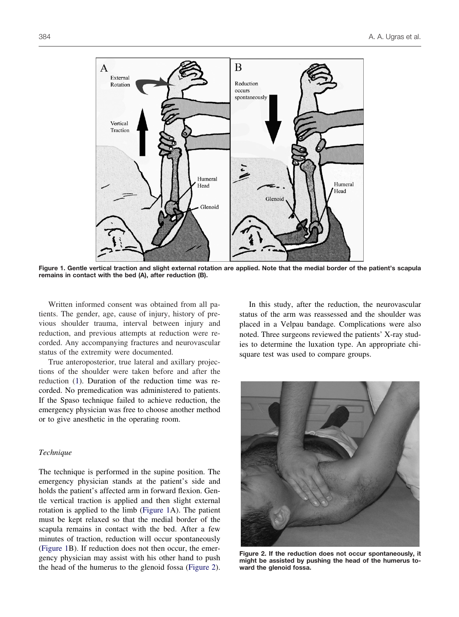

**Figure 1. Gentle vertical traction and slight external rotation are applied. Note that the medial border of the patient's scapula remains in contact with the bed (A), after reduction (B).**

Written informed consent was obtained from all patients. The gender, age, cause of injury, history of previous shoulder trauma, interval between injury and reduction, and previous attempts at reduction were recorded. Any accompanying fractures and neurovascular status of the extremity were documented.

True anteroposterior, true lateral and axillary projections of the shoulder were taken before and after the reduction [\(1\)](#page-3-0). Duration of the reduction time was recorded. No premedication was administered to patients. If the Spaso technique failed to achieve reduction, the emergency physician was free to choose another method or to give anesthetic in the operating room.

# *Technique*

The technique is performed in the supine position. The emergency physician stands at the patient's side and holds the patient's affected arm in forward flexion. Gentle vertical traction is applied and then slight external rotation is applied to the limb (Figure 1A). The patient must be kept relaxed so that the medial border of the scapula remains in contact with the bed. After a few minutes of traction, reduction will occur spontaneously (Figure 1B). If reduction does not then occur, the emergency physician may assist with his other hand to push the head of the humerus to the glenoid fossa (Figure 2).

In this study, after the reduction, the neurovascular status of the arm was reassessed and the shoulder was placed in a Velpau bandage. Complications were also noted. Three surgeons reviewed the patients' X-ray studies to determine the luxation type. An appropriate chisquare test was used to compare groups.



**Figure 2. If the reduction does not occur spontaneously, it might be assisted by pushing the head of the humerus toward the glenoid fossa.**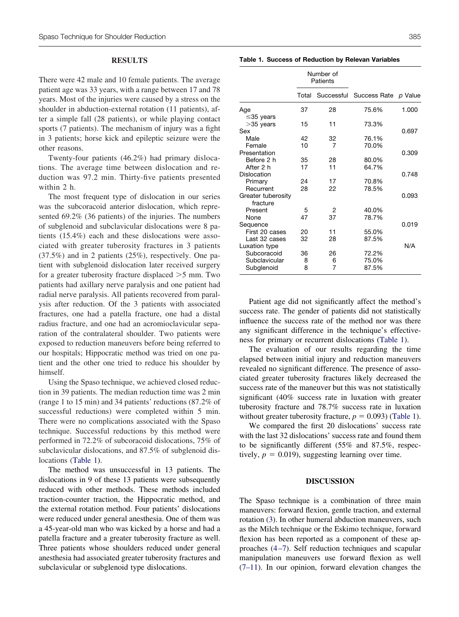### **RESULTS**

There were 42 male and 10 female patients. The average patient age was 33 years, with a range between 17 and 78 years. Most of the injuries were caused by a stress on the shoulder in abduction-external rotation (11 patients), after a simple fall (28 patients), or while playing contact sports (7 patients). The mechanism of injury was a fight in 3 patients; horse kick and epileptic seizure were the other reasons.

Twenty-four patients (46.2%) had primary dislocations. The average time between dislocation and reduction was 97.2 min. Thirty-five patients presented within 2 h.

The most frequent type of dislocation in our series was the subcoracoid anterior dislocation, which represented 69.2% (36 patients) of the injuries. The numbers of subglenoid and subclavicular dislocations were 8 patients (15.4%) each and these dislocations were associated with greater tuberosity fractures in 3 patients (37.5%) and in 2 patients (25%), respectively. One patient with subglenoid dislocation later received surgery for a greater tuberosity fracture displaced  $>5$  mm. Two patients had axillary nerve paralysis and one patient had radial nerve paralysis. All patients recovered from paralysis after reduction. Of the 3 patients with associated fractures, one had a patella fracture, one had a distal radius fracture, and one had an acromioclavicular separation of the contralateral shoulder. Two patients were exposed to reduction maneuvers before being referred to our hospitals; Hippocratic method was tried on one patient and the other one tried to reduce his shoulder by himself.

Using the Spaso technique, we achieved closed reduction in 39 patients. The median reduction time was 2 min (range 1 to 15 min) and 34 patients' reductions (87.2% of successful reductions) were completed within 5 min. There were no complications associated with the Spaso technique. Successful reductions by this method were performed in 72.2% of subcoracoid dislocations, 75% of subclavicular dislocations, and 87.5% of subglenoid dislocations (Table 1).

The method was unsuccessful in 13 patients. The dislocations in 9 of these 13 patients were subsequently reduced with other methods. These methods included traction-counter traction, the Hippocratic method, and the external rotation method. Four patients' dislocations were reduced under general anesthesia. One of them was a 45-year-old man who was kicked by a horse and had a patella fracture and a greater tuberosity fracture as well. Three patients whose shoulders reduced under general anesthesia had associated greater tuberosity fractures and subclavicular or subglenoid type dislocations.

**Table 1. Success of Reduction by Relevan Variables**

|                    | Number of<br>Patients |    |                                 |       |
|--------------------|-----------------------|----|---------------------------------|-------|
|                    | Total                 |    | Successful Success Rate p Value |       |
| Age                | 37                    | 28 | 75.6%                           | 1.000 |
| $\leq$ 35 years    |                       |    |                                 |       |
| $>35$ years        | 15                    | 11 | 73.3%                           |       |
| Sex                |                       |    |                                 | 0.697 |
| Male               | 42                    | 32 | 76.1%                           |       |
| Female             | 10                    | 7  | 70.0%                           |       |
| Presentation       |                       |    |                                 | 0.309 |
| Before 2 h         | 35                    | 28 | 80.0%                           |       |
| After 2 h          | 17                    | 11 | 64.7%                           |       |
| Dislocation        |                       |    |                                 | 0.748 |
| Primary            | 24                    | 17 | 70.8%                           |       |
| Recurrent          | 28                    | 22 | 78.5%                           |       |
| Greater tuberosity |                       |    |                                 | 0.093 |
| fracture           |                       |    |                                 |       |
| Present            | 5                     | 2  | 40.0%                           |       |
| None               | 47                    | 37 | 78.7%                           |       |
| Sequence           |                       |    |                                 | 0.019 |
| First 20 cases     | 20                    | 11 | 55.0%                           |       |
| Last 32 cases      | 32                    | 28 | 87.5%                           |       |
| Luxation type      |                       |    |                                 | N/A   |
| Subcoracoid        | 36                    | 26 | 72.2%                           |       |
| Subclavicular      | 8                     | 6  | 75.0%                           |       |
| Subglenoid         | 8                     | 7  | 87.5%                           |       |

Patient age did not significantly affect the method's success rate. The gender of patients did not statistically influence the success rate of the method nor was there any significant difference in the technique's effectiveness for primary or recurrent dislocations (Table 1).

The evaluation of our results regarding the time elapsed between initial injury and reduction maneuvers revealed no significant difference. The presence of associated greater tuberosity fractures likely decreased the success rate of the maneuver but this was not statistically significant (40% success rate in luxation with greater tuberosity fracture and 78.7% success rate in luxation without greater tuberosity fracture,  $p = 0.093$ ) (Table 1).

We compared the first 20 dislocations' success rate with the last 32 dislocations' success rate and found them to be significantly different (55% and 87.5%, respectively,  $p = 0.019$ ), suggesting learning over time.

#### **DISCUSSION**

The Spaso technique is a combination of three main maneuvers: forward flexion, gentle traction, and external rotation [\(3\)](#page-3-0). In other humeral abduction maneuvers, such as the Milch technique or the Eskimo technique, forward flexion has been reported as a component of these approaches  $(4-7)$ . Self reduction techniques and scapular manipulation maneuvers use forward flexion as well [\(7–11\)](#page-3-0). In our opinion, forward elevation changes the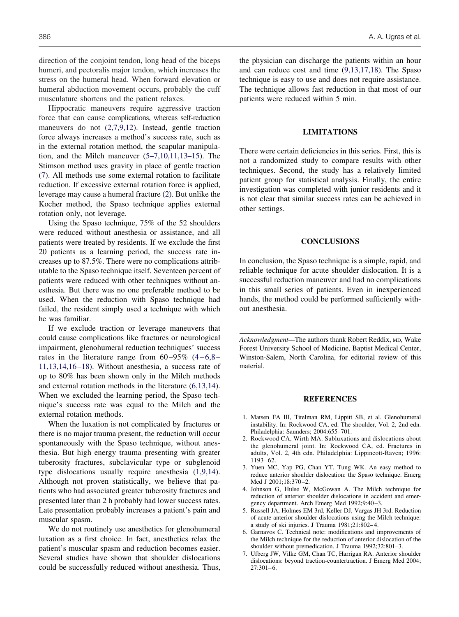<span id="page-3-0"></span>direction of the conjoint tendon, long head of the biceps humeri, and pectoralis major tendon, which increases the stress on the humeral head. When forward elevation or humeral abduction movement occurs, probably the cuff musculature shortens and the patient relaxes.

Hippocratic maneuvers require aggressive traction force that can cause complications, whereas self-reduction maneuvers do not (2,7,9,12). Instead, gentle traction force always increases a method's success rate, such as in the external rotation method, the scapular manipulation, and the Milch maneuver (5–7,10,11,13–15). The Stimson method uses gravity in place of gentle traction (7). All methods use some external rotation to facilitate reduction. If excessive external rotation force is applied, leverage may cause a humeral fracture (2). But unlike the Kocher method, the Spaso technique applies external rotation only, not leverage.

Using the Spaso technique, 75% of the 52 shoulders were reduced without anesthesia or assistance, and all patients were treated by residents. If we exclude the first 20 patients as a learning period, the success rate increases up to 87.5%. There were no complications attributable to the Spaso technique itself. Seventeen percent of patients were reduced with other techniques without anesthesia. But there was no one preferable method to be used. When the reduction with Spaso technique had failed, the resident simply used a technique with which he was familiar.

If we exclude traction or leverage maneuvers that could cause complications like fractures or neurological impairment, glenohumeral reduction techniques' success rates in the literature range from  $60-95\%$   $(4-6,8 11,13,14,16-18$ ). Without anesthesia, a success rate of up to 80% has been shown only in the Milch methods and external rotation methods in the literature (6,13,14). When we excluded the learning period, the Spaso technique's success rate was equal to the Milch and the external rotation methods.

When the luxation is not complicated by fractures or there is no major trauma present, the reduction will occur spontaneously with the Spaso technique, without anesthesia. But high energy trauma presenting with greater tuberosity fractures, subclavicular type or subglenoid type dislocations usually require anesthesia (1,9,14). Although not proven statistically, we believe that patients who had associated greater tuberosity fractures and presented later than 2 h probably had lower success rates. Late presentation probably increases a patient's pain and muscular spasm.

We do not routinely use anesthetics for glenohumeral luxation as a first choice. In fact, anesthetics relax the patient's muscular spasm and reduction becomes easier. Several studies have shown that shoulder dislocations could be successfully reduced without anesthesia. Thus,

the physician can discharge the patients within an hour and can reduce cost and time [\(9,13,17,18\)](#page-4-0). The Spaso technique is easy to use and does not require assistance. The technique allows fast reduction in that most of our patients were reduced within 5 min.

#### **LIMITATIONS**

There were certain deficiencies in this series. First, this is not a randomized study to compare results with other techniques. Second, the study has a relatively limited patient group for statistical analysis. Finally, the entire investigation was completed with junior residents and it is not clear that similar success rates can be achieved in other settings.

### **CONCLUSIONS**

In conclusion, the Spaso technique is a simple, rapid, and reliable technique for acute shoulder dislocation. It is a successful reduction maneuver and had no complications in this small series of patients. Even in inexperienced hands, the method could be performed sufficiently without anesthesia.

Acknowledgment—The authors thank Robert Reddix, MD, Wake Forest University School of Medicine, Baptist Medical Center, Winston-Salem, North Carolina, for editorial review of this material.

#### **REFERENCES**

- 1. Matsen FA III, Titelman RM, Lippitt SB, et al. Glenohumeral instability. In: Rockwood CA, ed. The shoulder, Vol. 2, 2nd edn. Philadelphia: Saunders; 2004:655–701.
- 2. Rockwood CA, Wirth MA. Subluxations and dislocations about the glenohumeral joint. In: Rockwood CA, ed. Fractures in adults, Vol. 2, 4th edn. Philadelphia: Lippincott-Raven; 1996: 1193– 62.
- 3. Yuen MC, Yap PG, Chan YT, Tung WK. An easy method to reduce anterior shoulder dislocation: the Spaso technique. Emerg Med J 2001;18:370-2.
- 4. Johnson G, Hulse W, McGowan A. The Milch technique for reduction of anterior shoulder dislocations in accident and emergency department. Arch Emerg Med 1992;9:40 –3.
- 5. Russell JA, Holmes EM 3rd, Keller DJ, Vargas JH 3rd. Reduction of acute anterior shoulder dislocations using the Milch technique: a study of ski injuries. J Trauma 1981;21:802– 4.
- 6. Garnavos C. Technical note: modifications and improvements of the Milch technique for the reduction of anterior dislocation of the shoulder without premedication. J Trauma 1992;32:801–3.
- 7. Ufberg JW, Vilke GM, Chan TC, Harrigan RA. Anterior shoulder dislocations: beyond traction-countertraction. J Emerg Med 2004;  $27:301-6$ .